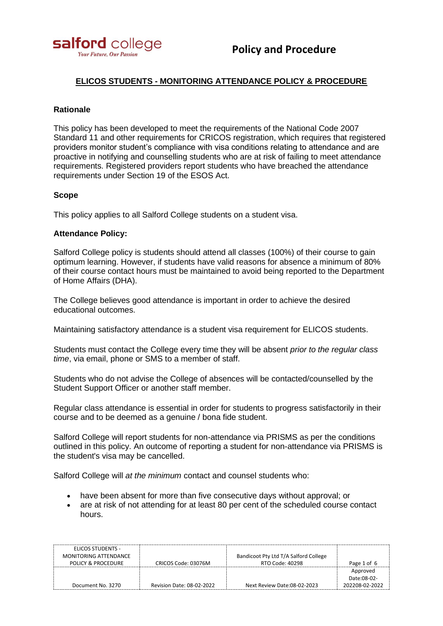

# **ELICOS STUDENTS - MONITORING ATTENDANCE POLICY & PROCEDURE**

## **Rationale**

This policy has been developed to meet the requirements of the National Code 2007 Standard 11 and other requirements for CRICOS registration, which requires that registered providers monitor student's compliance with visa conditions relating to attendance and are proactive in notifying and counselling students who are at risk of failing to meet attendance requirements. Registered providers report students who have breached the attendance requirements under Section 19 of the ESOS Act.

## **Scope**

This policy applies to all Salford College students on a student visa.

## **Attendance Policy:**

Salford College policy is students should attend all classes (100%) of their course to gain optimum learning. However, if students have valid reasons for absence a minimum of 80% of their course contact hours must be maintained to avoid being reported to the Department of Home Affairs (DHA).

The College believes good attendance is important in order to achieve the desired educational outcomes.

Maintaining satisfactory attendance is a student visa requirement for ELICOS students.

Students must contact the College every time they will be absent *prior to the regular class time*, via email, phone or SMS to a member of staff.

Students who do not advise the College of absences will be contacted/counselled by the Student Support Officer or another staff member.

Regular class attendance is essential in order for students to progress satisfactorily in their course and to be deemed as a genuine / bona fide student.

Salford College will report students for non-attendance via PRISMS as per the conditions outlined in this policy. An outcome of reporting a student for non-attendance via PRISMS is the student's visa may be cancelled.

Salford College will *at the minimum* contact and counsel students who:

- have been absent for more than five consecutive days without approval; or
- are at risk of not attending for at least 80 per cent of the scheduled course contact hours.

| ELICOS STUDENTS -     |                           |                                       |                |
|-----------------------|---------------------------|---------------------------------------|----------------|
| MONITORING ATTENDANCE |                           | Bandicoot Pty Ltd T/A Salford College |                |
| POLICY & PROCEDURE    | CRICOS Code: 03076M       | RTO Code: 40298                       | Page 1 of 6    |
|                       |                           |                                       | Approved       |
|                       |                           |                                       | Date:08-02-    |
| Document No. 3270     | Revision Date: 08-02-2022 | Next Review Date:08-02-2023           | 202208-02-2022 |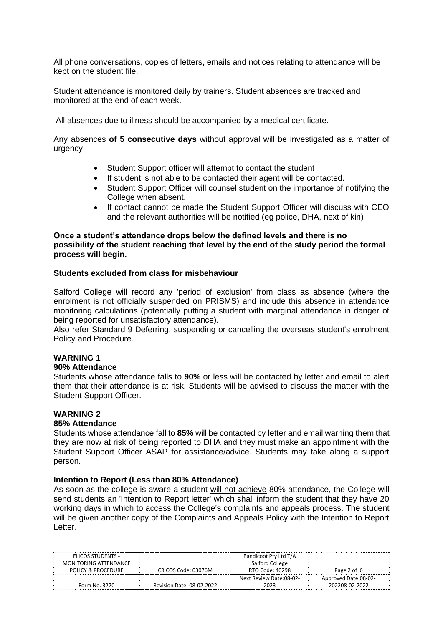All phone conversations, copies of letters, emails and notices relating to attendance will be kept on the student file.

Student attendance is monitored daily by trainers. Student absences are tracked and monitored at the end of each week.

All absences due to illness should be accompanied by a medical certificate.

Any absences **of 5 consecutive days** without approval will be investigated as a matter of urgency.

- Student Support officer will attempt to contact the student
- If student is not able to be contacted their agent will be contacted.
- Student Support Officer will counsel student on the importance of notifying the College when absent.
- If contact cannot be made the Student Support Officer will discuss with CEO and the relevant authorities will be notified (eg police, DHA, next of kin)

### **Once a student's attendance drops below the defined levels and there is no possibility of the student reaching that level by the end of the study period the formal process will begin.**

## **Students excluded from class for misbehaviour**

Salford College will record any 'period of exclusion' from class as absence (where the enrolment is not officially suspended on PRISMS) and include this absence in attendance monitoring calculations (potentially putting a student with marginal attendance in danger of being reported for unsatisfactory attendance).

Also refer Standard 9 Deferring, suspending or cancelling the overseas student's enrolment Policy and Procedure.

#### **WARNING 1**

### **90% Attendance**

Students whose attendance falls to **90%** or less will be contacted by letter and email to alert them that their attendance is at risk. Students will be advised to discuss the matter with the Student Support Officer.

#### **WARNING 2**

#### **85% Attendance**

Students whose attendance fall to **85%** will be contacted by letter and email warning them that they are now at risk of being reported to DHA and they must make an appointment with the Student Support Officer ASAP for assistance/advice. Students may take along a support person.

#### **Intention to Report (Less than 80% Attendance)**

As soon as the college is aware a student will not achieve 80% attendance, the College will send students an 'Intention to Report letter' which shall inform the student that they have 20 working days in which to access the College's complaints and appeals process. The student will be given another copy of the Complaints and Appeals Policy with the Intention to Report Letter.

| ELICOS STUDENTS -     |                           | Bandicoot Pty Ltd T/A   |                      |
|-----------------------|---------------------------|-------------------------|----------------------|
| MONITORING ATTENDANCE |                           | Salford College         |                      |
| POLICY & PROCEDURE    | CRICOS Code: 03076M       | RTO Code: 40298         | Page 2 of 6          |
|                       |                           | Next Review Date:08-02- | Approved Date:08-02- |
| Form No. 3270         | Revision Date: 08-02-2022 | 2023                    | 202208-02-2022       |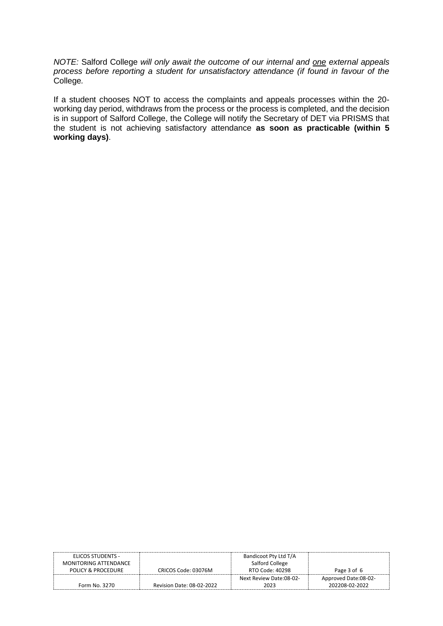*NOTE:* Salford College *will only await the outcome of our internal and one external appeals process before reporting a student for unsatisfactory attendance (if found in favour of the* College*.*

If a student chooses NOT to access the complaints and appeals processes within the 20 working day period, withdraws from the process or the process is completed, and the decision is in support of Salford College, the College will notify the Secretary of DET via PRISMS that the student is not achieving satisfactory attendance **as soon as practicable (within 5 working days)**.

| ELICOS STUDENTS -     |                           | Bandicoot Pty Ltd T/A   |                      |
|-----------------------|---------------------------|-------------------------|----------------------|
| MONITORING ATTENDANCE |                           | Salford College         |                      |
| POLICY & PROCEDURE    | CRICOS Code: 03076M       | RTO Code: 40298         | Page 3 of 6          |
|                       |                           | Next Review Date:08-02- | Approved Date:08-02- |
| Form No. 3270         | Revision Date: 08-02-2022 | 2023                    | 202208-02-2022       |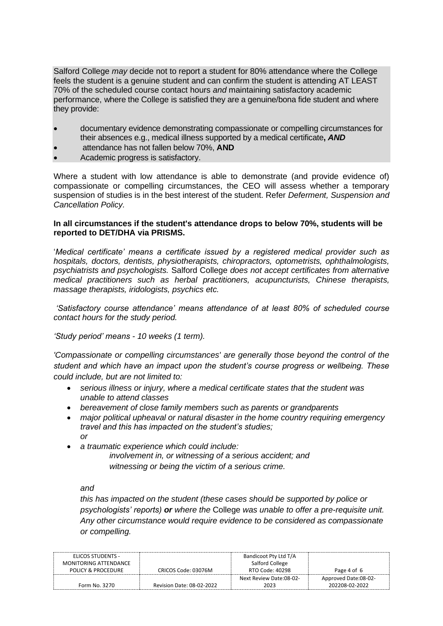Salford College *may* decide not to report a student for 80% attendance where the College feels the student is a genuine student and can confirm the student is attending AT LEAST 70% of the scheduled course contact hours *and* maintaining satisfactory academic performance, where the College is satisfied they are a genuine/bona fide student and where they provide:

- documentary evidence demonstrating compassionate or compelling circumstances for their absences e.g., medical illness supported by a medical certificate**,** *AND*
- attendance has not fallen below 70%, **AND**
- Academic progress is satisfactory.

Where a student with low attendance is able to demonstrate (and provide evidence of) compassionate or compelling circumstances, the CEO will assess whether a temporary suspension of studies is in the best interest of the student. Refer *Deferment, Suspension and Cancellation Policy.*

## **In all circumstances if the student's attendance drops to below 70%, students will be reported to DET/DHA via PRISMS.**

'*Medical certificate' means a certificate issued by a registered medical provider such as hospitals, doctors, dentists, physiotherapists, chiropractors, optometrists, ophthalmologists, psychiatrists and psychologists.* Salford College *does not accept certificates from alternative medical practitioners such as herbal practitioners, acupuncturists, Chinese therapists, massage therapists, iridologists, psychics etc.*

*'Satisfactory course attendance' means attendance of at least 80% of scheduled course contact hours for the study period.*

*'Study period' means - 10 weeks (1 term).*

*'Compassionate or compelling circumstances' are generally those beyond the control of the student and which have an impact upon the student's course progress or wellbeing. These could include, but are not limited to:*

- *serious illness or injury, where a medical certificate states that the student was unable to attend classes*
- *bereavement of close family members such as parents or grandparents*
- *major political upheaval or natural disaster in the home country requiring emergency travel and this has impacted on the student's studies; or*
- *a traumatic experience which could include:*

*involvement in, or witnessing of a serious accident; and witnessing or being the victim of a serious crime.*

*and* 

*this has impacted on the student (these cases should be supported by police or psychologists' reports) or where the* College *was unable to offer a pre-requisite unit. Any other circumstance would require evidence to be considered as compassionate or compelling.*

| ELICOS STUDENTS -     |                           | Bandicoot Pty Ltd T/A   |                      |
|-----------------------|---------------------------|-------------------------|----------------------|
| MONITORING ATTENDANCE |                           | Salford College         |                      |
| POLICY & PROCEDURE    | CRICOS Code: 03076M       | RTO Code: 40298         | Page 4 of 6          |
|                       |                           | Next Review Date:08-02- | Approved Date:08-02- |
| Form No. 3270         | Revision Date: 08-02-2022 | 2023                    | 202208-02-2022       |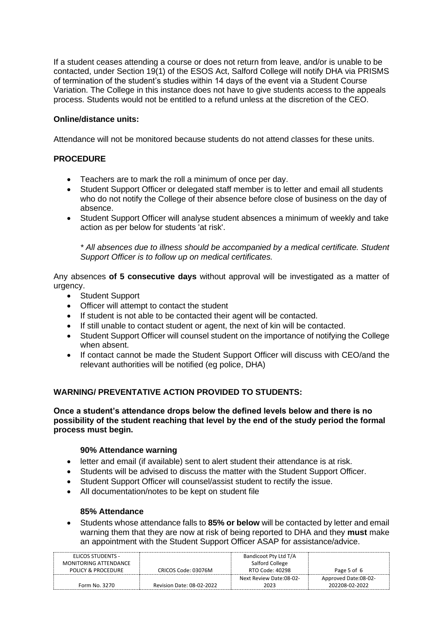If a student ceases attending a course or does not return from leave, and/or is unable to be contacted, under Section 19(1) of the ESOS Act, Salford College will notify DHA via PRISMS of termination of the student's studies within 14 days of the event via a Student Course Variation. The College in this instance does not have to give students access to the appeals process. Students would not be entitled to a refund unless at the discretion of the CEO.

# **Online/distance units:**

Attendance will not be monitored because students do not attend classes for these units.

# **PROCEDURE**

- Teachers are to mark the roll a minimum of once per day.
- Student Support Officer or delegated staff member is to letter and email all students who do not notify the College of their absence before close of business on the day of absence.
- Student Support Officer will analyse student absences a minimum of weekly and take action as per below for students 'at risk'.

*\* All absences due to illness should be accompanied by a medical certificate. Student Support Officer is to follow up on medical certificates.*

Any absences **of 5 consecutive days** without approval will be investigated as a matter of urgency.

- Student Support
- Officer will attempt to contact the student
- If student is not able to be contacted their agent will be contacted.
- If still unable to contact student or agent, the next of kin will be contacted.
- Student Support Officer will counsel student on the importance of notifying the College when absent.
- If contact cannot be made the Student Support Officer will discuss with CEO/and the relevant authorities will be notified (eg police, DHA)

# **WARNING/ PREVENTATIVE ACTION PROVIDED TO STUDENTS:**

**Once a student's attendance drops below the defined levels below and there is no possibility of the student reaching that level by the end of the study period the formal process must begin.**

# **90% Attendance warning**

- letter and email (if available) sent to alert student their attendance is at risk.
- Students will be advised to discuss the matter with the Student Support Officer.
- Student Support Officer will counsel/assist student to rectify the issue.
- All documentation/notes to be kept on student file

# **85% Attendance**

• Students whose attendance falls to **85% or below** will be contacted by letter and email warning them that they are now at risk of being reported to DHA and they **must** make an appointment with the Student Support Officer ASAP for assistance/advice.